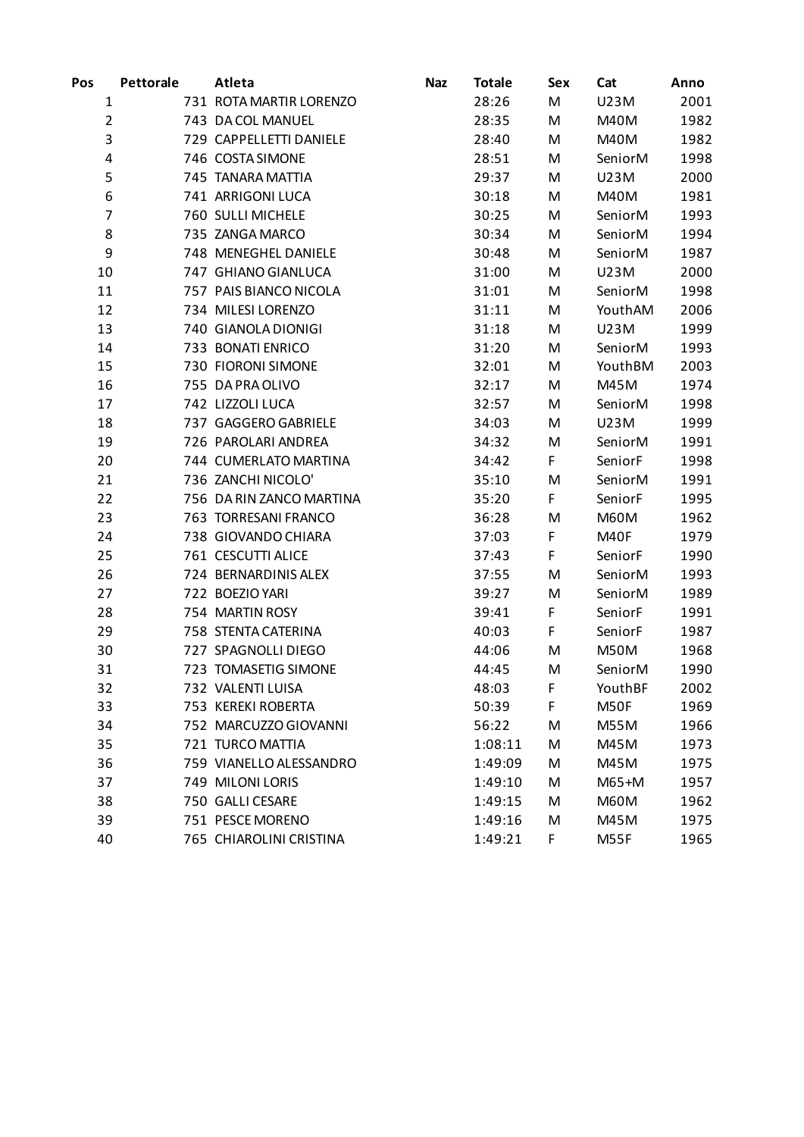| Pos            | <b>Pettorale</b> | Atleta                   | <b>Naz</b> | <b>Totale</b> | Sex | Cat         | Anno |
|----------------|------------------|--------------------------|------------|---------------|-----|-------------|------|
| 1              |                  | 731 ROTA MARTIR LORENZO  |            | 28:26         | M   | U23M        | 2001 |
| $\overline{2}$ |                  | 743 DA COL MANUEL        |            | 28:35         | M   | M40M        | 1982 |
| 3              |                  | 729 CAPPELLETTI DANIELE  |            | 28:40         | M   | M40M        | 1982 |
| 4              |                  | 746 COSTA SIMONE         |            | 28:51         | M   | SeniorM     | 1998 |
| 5              |                  | 745 TANARA MATTIA        |            | 29:37         | M   | U23M        | 2000 |
| 6              |                  | 741 ARRIGONI LUCA        |            | 30:18         | M   | M40M        | 1981 |
| 7              |                  | 760 SULLI MICHELE        |            | 30:25         | M   | SeniorM     | 1993 |
| 8              |                  | 735 ZANGA MARCO          |            | 30:34         | M   | SeniorM     | 1994 |
| 9              |                  | 748 MENEGHEL DANIELE     |            | 30:48         | M   | SeniorM     | 1987 |
| 10             |                  | 747 GHIANO GIANLUCA      |            | 31:00         | M   | U23M        | 2000 |
| 11             |                  | 757 PAIS BIANCO NICOLA   |            | 31:01         | M   | SeniorM     | 1998 |
| 12             |                  | 734 MILESI LORENZO       |            | 31:11         | M   | YouthAM     | 2006 |
| 13             |                  | 740 GIANOLA DIONIGI      |            | 31:18         | M   | U23M        | 1999 |
| 14             |                  | 733 BONATI ENRICO        |            | 31:20         | M   | SeniorM     | 1993 |
| 15             |                  | 730 FIORONI SIMONE       |            | 32:01         | M   | YouthBM     | 2003 |
| 16             |                  | 755 DA PRA OLIVO         |            | 32:17         | M   | M45M        | 1974 |
| 17             |                  | 742 LIZZOLI LUCA         |            | 32:57         | M   | SeniorM     | 1998 |
| 18             |                  | 737 GAGGERO GABRIELE     |            | 34:03         | M   | U23M        | 1999 |
| 19             |                  | 726 PAROLARI ANDREA      |            | 34:32         | M   | SeniorM     | 1991 |
| 20             |                  | 744 CUMERLATO MARTINA    |            | 34:42         | F   | SeniorF     | 1998 |
| 21             |                  | 736 ZANCHI NICOLO'       |            | 35:10         | M   | SeniorM     | 1991 |
| 22             |                  | 756 DA RIN ZANCO MARTINA |            | 35:20         | F   | SeniorF     | 1995 |
| 23             |                  | 763 TORRESANI FRANCO     |            | 36:28         | M   | <b>M60M</b> | 1962 |
| 24             |                  | 738 GIOVANDO CHIARA      |            | 37:03         | F   | M40F        | 1979 |
| 25             |                  | 761 CESCUTTI ALICE       |            | 37:43         | F   | SeniorF     | 1990 |
| 26             |                  | 724 BERNARDINIS ALEX     |            | 37:55         | M   | SeniorM     | 1993 |
| 27             |                  | 722 BOEZIO YARI          |            | 39:27         | M   | SeniorM     | 1989 |
| 28             |                  | 754 MARTIN ROSY          |            | 39:41         | F   | SeniorF     | 1991 |
| 29             |                  | 758 STENTA CATERINA      |            | 40:03         | F   | SeniorF     | 1987 |
| 30             |                  | 727 SPAGNOLLI DIEGO      |            | 44:06         | M   | <b>M50M</b> | 1968 |
| 31             |                  | 723 TOMASETIG SIMONE     |            | 44:45         | M   | SeniorM     | 1990 |
| 32             |                  | 732 VALENTI LUISA        |            | 48:03         | F   | YouthBF     | 2002 |
| 33             |                  | 753 KEREKI ROBERTA       |            | 50:39         | F   | M50F        | 1969 |
| 34             |                  | 752 MARCUZZO GIOVANNI    |            | 56:22         | M   | M55M        | 1966 |
| 35             |                  | 721 TURCO MATTIA         |            | 1:08:11       | M   | M45M        | 1973 |
| 36             |                  | 759 VIANELLO ALESSANDRO  |            | 1:49:09       | M   | M45M        | 1975 |
| 37             |                  | 749 MILONI LORIS         |            | 1:49:10       | M   | $M65+M$     | 1957 |
| 38             |                  | 750 GALLI CESARE         |            | 1:49:15       | M   | <b>M60M</b> | 1962 |
| 39             |                  | 751 PESCE MORENO         |            | 1:49:16       | M   | M45M        | 1975 |
| 40             |                  | 765 CHIAROLINI CRISTINA  |            | 1:49:21       | F   | M55F        | 1965 |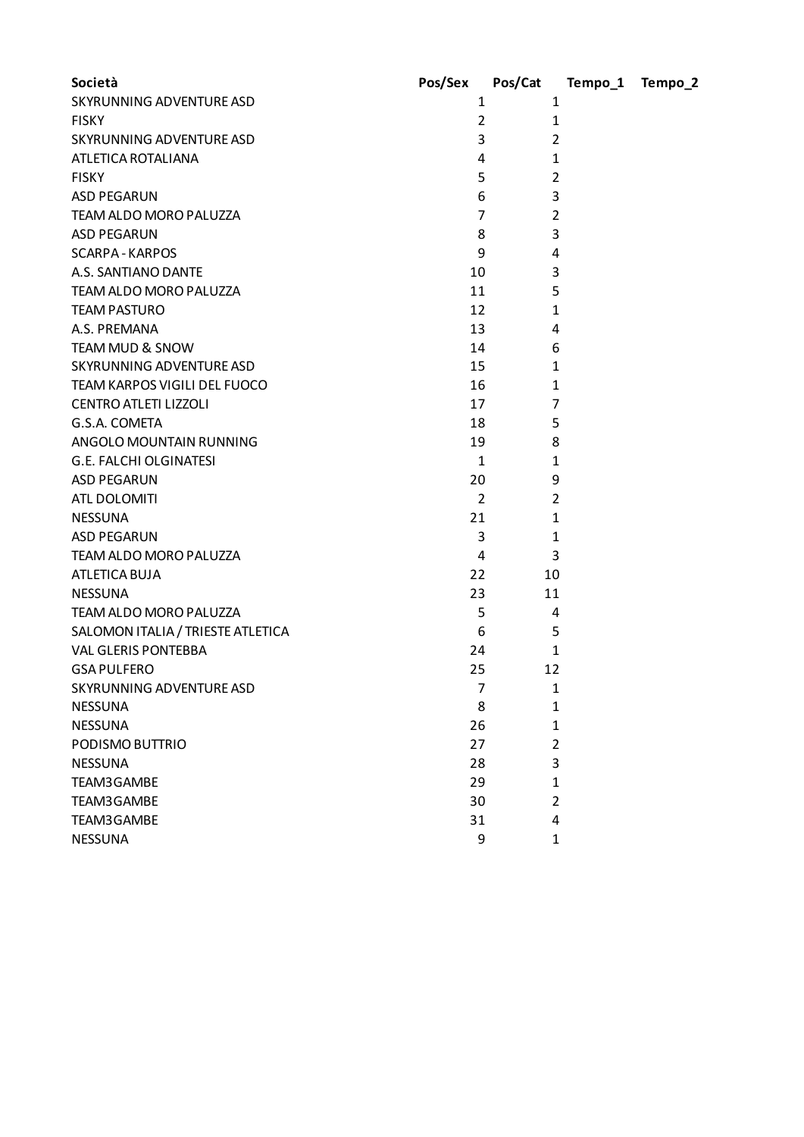| Società                           | Pos/Sex        | Pos/Cat        | Tempo_1 | Tempo_2 |
|-----------------------------------|----------------|----------------|---------|---------|
| SKYRUNNING ADVENTURE ASD          | 1              | 1              |         |         |
| <b>FISKY</b>                      | $\overline{2}$ | $\mathbf{1}$   |         |         |
| SKYRUNNING ADVENTURE ASD          | 3              | 2              |         |         |
| ATLETICA ROTALIANA                | 4              | 1              |         |         |
| <b>FISKY</b>                      | 5              | 2              |         |         |
| <b>ASD PEGARUN</b>                | 6              | 3              |         |         |
| TEAM ALDO MORO PALUZZA            | $\overline{7}$ | 2              |         |         |
| <b>ASD PEGARUN</b>                | 8              | 3              |         |         |
| <b>SCARPA - KARPOS</b>            | 9              | 4              |         |         |
| A.S. SANTIANO DANTE               | 10             | 3              |         |         |
| TEAM ALDO MORO PALUZZA            | 11             | 5              |         |         |
| <b>TEAM PASTURO</b>               | 12             | 1              |         |         |
| A.S. PREMANA                      | 13             | 4              |         |         |
| TEAM MUD & SNOW                   | 14             | 6              |         |         |
| SKYRUNNING ADVENTURE ASD          | 15             | $\mathbf{1}$   |         |         |
| TEAM KARPOS VIGILI DEL FUOCO      | 16             | $\mathbf{1}$   |         |         |
| <b>CENTRO ATLETI LIZZOLI</b>      | 17             | $\overline{7}$ |         |         |
| G.S.A. COMETA                     | 18             | 5              |         |         |
| ANGOLO MOUNTAIN RUNNING           | 19             | 8              |         |         |
| <b>G.E. FALCHI OLGINATESI</b>     | $\mathbf{1}$   | $\mathbf{1}$   |         |         |
| <b>ASD PEGARUN</b>                | 20             | 9              |         |         |
| ATL DOLOMITI                      | $\overline{2}$ | 2              |         |         |
| <b>NESSUNA</b>                    | 21             | 1              |         |         |
| <b>ASD PEGARUN</b>                | 3              | 1              |         |         |
| TEAM ALDO MORO PALUZZA            | 4              | 3              |         |         |
| ATLETICA BUJA                     | 22             | 10             |         |         |
| <b>NESSUNA</b>                    | 23             | 11             |         |         |
| TEAM ALDO MORO PALUZZA            | 5              | 4              |         |         |
| SALOMON ITALIA / TRIESTE ATLETICA | 6              | 5              |         |         |
| <b>VAL GLERIS PONTEBBA</b>        | 24             | 1              |         |         |
| <b>GSA PULFERO</b>                | 25             | 12             |         |         |
| SKYRUNNING ADVENTURE ASD          | 7              | $\mathbf{1}$   |         |         |
| <b>NESSUNA</b>                    | 8              | $\mathbf{1}$   |         |         |
| <b>NESSUNA</b>                    | 26             | 1              |         |         |
| PODISMO BUTTRIO                   | 27             | $\overline{2}$ |         |         |
| <b>NESSUNA</b>                    | 28             | 3              |         |         |
| TEAM3GAMBE                        | 29             | 1              |         |         |
| TEAM3GAMBE                        | 30             | $\overline{2}$ |         |         |
| TEAM3GAMBE                        | 31             | 4              |         |         |
| <b>NESSUNA</b>                    | 9              | 1              |         |         |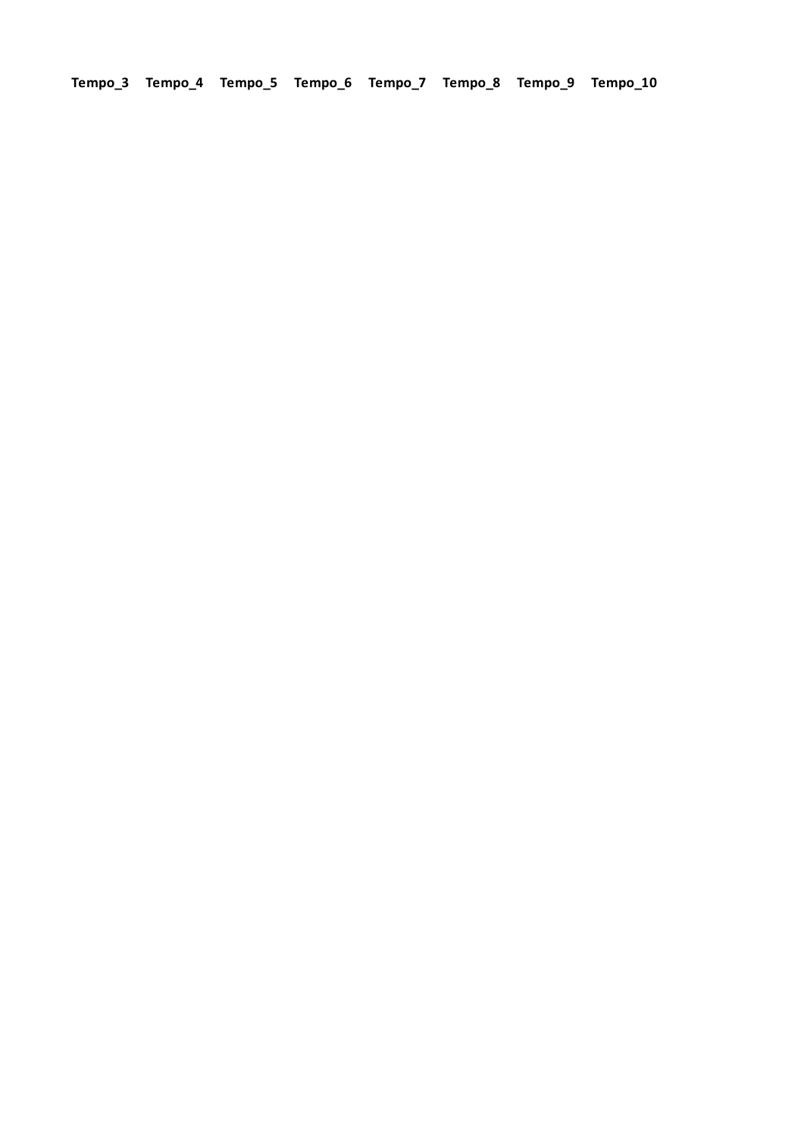**Tempo\_3 Tempo\_4 Tempo\_5 Tempo\_6 Tempo\_7 Tempo\_8 Tempo\_9 Tempo\_10**